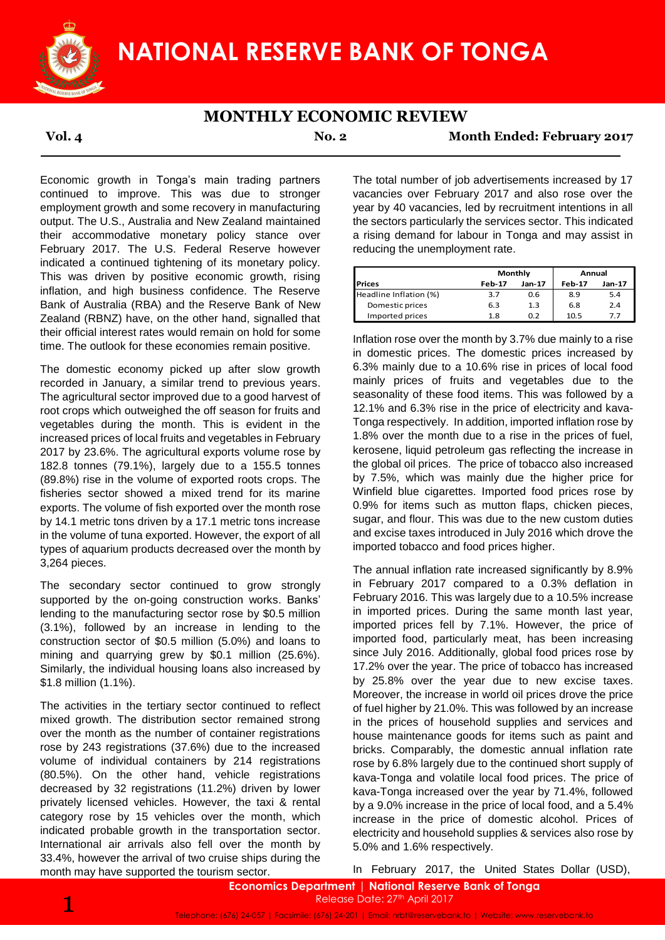

### **MONTHLY ECONOMIC REVIEW**

**Vol. 4 No. 2 Month Ended: February 2017**

Economic growth in Tonga's main trading partners continued to improve. This was due to stronger employment growth and some recovery in manufacturing output. The U.S., Australia and New Zealand maintained their accommodative monetary policy stance over February 2017. The U.S. Federal Reserve however indicated a continued tightening of its monetary policy. This was driven by positive economic growth, rising inflation, and high business confidence. The Reserve Bank of Australia (RBA) and the Reserve Bank of New Zealand (RBNZ) have, on the other hand, signalled that their official interest rates would remain on hold for some time. The outlook for these economies remain positive.

The domestic economy picked up after slow growth recorded in January, a similar trend to previous years. The agricultural sector improved due to a good harvest of root crops which outweighed the off season for fruits and vegetables during the month. This is evident in the increased prices of local fruits and vegetables in February 2017 by 23.6%. The agricultural exports volume rose by 182.8 tonnes (79.1%), largely due to a 155.5 tonnes (89.8%) rise in the volume of exported roots crops. The fisheries sector showed a mixed trend for its marine exports. The volume of fish exported over the month rose by 14.1 metric tons driven by a 17.1 metric tons increase in the volume of tuna exported. However, the export of all types of aquarium products decreased over the month by 3,264 pieces.

The secondary sector continued to grow strongly supported by the on-going construction works. Banks' lending to the manufacturing sector rose by \$0.5 million (3.1%), followed by an increase in lending to the construction sector of \$0.5 million (5.0%) and loans to mining and quarrying grew by \$0.1 million (25.6%). Similarly, the individual housing loans also increased by \$1.8 million (1.1%).

The activities in the tertiary sector continued to reflect mixed growth. The distribution sector remained strong over the month as the number of container registrations rose by 243 registrations (37.6%) due to the increased volume of individual containers by 214 registrations (80.5%). On the other hand, vehicle registrations decreased by 32 registrations (11.2%) driven by lower privately licensed vehicles. However, the taxi & rental category rose by 15 vehicles over the month, which indicated probable growth in the transportation sector. International air arrivals also fell over the month by 33.4%, however the arrival of two cruise ships during the month may have supported the tourism sector.

The total number of job advertisements increased by 17 vacancies over February 2017 and also rose over the year by 40 vacancies, led by recruitment intentions in all the sectors particularly the services sector. This indicated a rising demand for labour in Tonga and may assist in reducing the unemployment rate.

|                        |               | Monthly | Annual |        |  |
|------------------------|---------------|---------|--------|--------|--|
| <b>IPrices</b>         | <b>Feb-17</b> | Jan-17  |        | Jan-17 |  |
| Headline Inflation (%) | 3.7           | 0.6     | 8.9    | 5.4    |  |
| Domestic prices        | 6.3           | 1.3     | 6.8    | 2.4    |  |
| Imported prices        | 1.8           | 0.2     | 10.5   | 7.7    |  |

Inflation rose over the month by 3.7% due mainly to a rise in domestic prices. The domestic prices increased by 6.3% mainly due to a 10.6% rise in prices of local food mainly prices of fruits and vegetables due to the seasonality of these food items. This was followed by a 12.1% and 6.3% rise in the price of electricity and kava-Tonga respectively. In addition, imported inflation rose by 1.8% over the month due to a rise in the prices of fuel, kerosene, liquid petroleum gas reflecting the increase in the global oil prices. The price of tobacco also increased by 7.5%, which was mainly due the higher price for Winfield blue cigarettes. Imported food prices rose by 0.9% for items such as mutton flaps, chicken pieces, sugar, and flour. This was due to the new custom duties and excise taxes introduced in July 2016 which drove the imported tobacco and food prices higher.

The annual inflation rate increased significantly by 8.9% in February 2017 compared to a 0.3% deflation in February 2016. This was largely due to a 10.5% increase in imported prices. During the same month last year, imported prices fell by 7.1%. However, the price of imported food, particularly meat, has been increasing since July 2016. Additionally, global food prices rose by 17.2% over the year. The price of tobacco has increased by 25.8% over the year due to new excise taxes. Moreover, the increase in world oil prices drove the price of fuel higher by 21.0%. This was followed by an increase in the prices of household supplies and services and house maintenance goods for items such as paint and bricks. Comparably, the domestic annual inflation rate rose by 6.8% largely due to the continued short supply of kava-Tonga and volatile local food prices. The price of kava-Tonga increased over the year by 71.4%, followed by a 9.0% increase in the price of local food, and a 5.4% increase in the price of domestic alcohol. Prices of electricity and household supplies & services also rose by 5.0% and 1.6% respectively.

In February 2017, the United States Dollar (USD),

Telephone: (676) 24-057 | Facsimile: (676) 24-201 | Email: nrbt@reservebank.to | Website: www.reservebank.to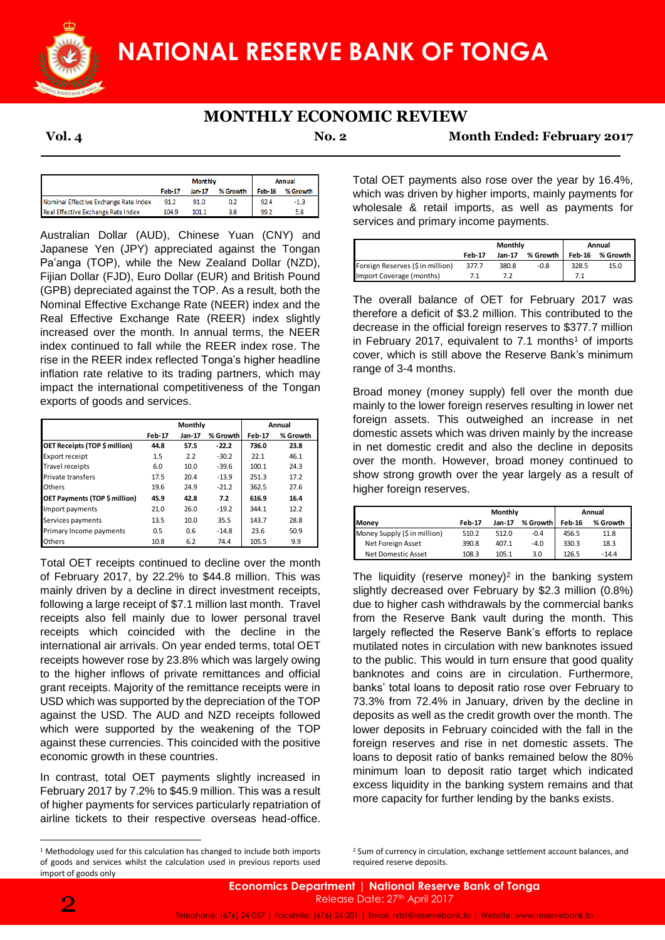

# **MONTHLY ECONOMIC REVIEW**

**Vol. 4 No. 2 Month Ended: February 2017**

|                                       | <b>Monthly</b> |        |          | Annual |          |  |
|---------------------------------------|----------------|--------|----------|--------|----------|--|
|                                       | Feb-17         | Jan-17 | % Growth | Feb-16 | % Growth |  |
| Nominal Effective Exchange Rate Index | 91.2           | 91.0   | 0.2      | 92.4   | $-1.3$   |  |
| Real Effective Exchange Rate Index    | 104.9          | 101.1  | 38       | 99.2   | 5.8      |  |

Australian Dollar (AUD), Chinese Yuan (CNY) and Japanese Yen (JPY) appreciated against the Tongan Pa'anga (TOP), while the New Zealand Dollar (NZD), Fijian Dollar (FJD), Euro Dollar (EUR) and British Pound (GPB) depreciated against the TOP. As a result, both the Nominal Effective Exchange Rate (NEER) index and the Real Effective Exchange Rate (REER) index slightly increased over the month. In annual terms, the NEER index continued to fall while the REER index rose. The rise in the REER index reflected Tonga's higher headline inflation rate relative to its trading partners, which may impact the international competitiveness of the Tongan exports of goods and services.

|                               | Monthly       |        |          | Annual        |          |
|-------------------------------|---------------|--------|----------|---------------|----------|
|                               | <b>Feb-17</b> | Jan-17 | % Growth | <b>Feb-17</b> | % Growth |
| OET Receipts (TOP \$ million) | 44.8          | 57.5   | $-22.2$  | 736.0         | 23.8     |
| Export receipt                | 1.5           | 2.2    | $-30.2$  | 22.1          | 46.1     |
| <b>Travel receipts</b>        | 6.0           | 10.0   | $-39.6$  | 100.1         | 24.3     |
| Private transfers             | 17.5          | 20.4   | $-13.9$  | 251.3         | 17.2     |
| Others                        | 19.6          | 24.9   | $-21.2$  | 362.5         | 27.6     |
| OET Payments (TOP \$ million) | 45.9          | 42.8   | 7.2      | 616.9         | 16.4     |
| Import payments               | 21.0          | 26.0   | $-19.2$  | 344.1         | 12.2     |
| Services payments             | 13.5          | 10.0   | 35.5     | 143.7         | 28.8     |
| Primary Income payments       | 0.5           | 0.6    | $-14.8$  | 23.6          | 50.9     |
| Others                        | 10.8          | 6.2    | 74.4     | 105.5         | 9.9      |

Total OET receipts continued to decline over the month of February 2017, by 22.2% to \$44.8 million. This was mainly driven by a decline in direct investment receipts, following a large receipt of \$7.1 million last month. Travel receipts also fell mainly due to lower personal travel receipts which coincided with the decline in the international air arrivals. On year ended terms, total OET receipts however rose by 23.8% which was largely owing to the higher inflows of private remittances and official grant receipts. Majority of the remittance receipts were in USD which was supported by the depreciation of the TOP against the USD. The AUD and NZD receipts followed which were supported by the weakening of the TOP against these currencies. This coincided with the positive economic growth in these countries.

In contrast, total OET payments slightly increased in February 2017 by 7.2% to \$45.9 million. This was a result of higher payments for services particularly repatriation of airline tickets to their respective overseas head-office.

Total OET payments also rose over the year by 16.4%, which was driven by higher imports, mainly payments for wholesale & retail imports, as well as payments for services and primary income payments.

|                                  | Monthly |        |          | Annual |          |  |
|----------------------------------|---------|--------|----------|--------|----------|--|
|                                  | Feb-17  | Jan-17 | % Growth | Feb-16 | % Growth |  |
| Foreign Reserves (\$ in million) | 377.7   | 380.8  | -0.8     | 328.5  | 15.0     |  |
| Import Coverage (months)         |         |        |          |        |          |  |

The overall balance of OET for February 2017 was therefore a deficit of \$3.2 million. This contributed to the decrease in the official foreign reserves to \$377.7 million in February 2017, equivalent to  $7.1$  months<sup>1</sup> of imports cover, which is still above the Reserve Bank's minimum range of 3-4 months.

Broad money (money supply) fell over the month due mainly to the lower foreign reserves resulting in lower net foreign assets. This outweighed an increase in net domestic assets which was driven mainly by the increase in net domestic credit and also the decline in deposits over the month. However, broad money continued to show strong growth over the year largely as a result of higher foreign reserves.

|                              | Monthly       |        |          | Annual        |          |  |
|------------------------------|---------------|--------|----------|---------------|----------|--|
| Money                        | <b>Feb-17</b> | Jan-17 | % Growth | <b>Feb-16</b> | % Growth |  |
| Money Supply (\$ in million) | 510.2         | 512.0  | $-0.4$   | 456.5         | 11.8     |  |
| Net Foreign Asset            | 390.8         | 407.1  | $-4.0$   | 330.3         | 18.3     |  |
| Net Domestic Asset           | 108.3         | 105.1  | 3.0      | 126.5         | $-14.4$  |  |

The liquidity (reserve money)<sup>2</sup> in the banking system slightly decreased over February by \$2.3 million (0.8%) due to higher cash withdrawals by the commercial banks from the Reserve Bank vault during the month. This largely reflected the Reserve Bank's efforts to replace mutilated notes in circulation with new banknotes issued to the public. This would in turn ensure that good quality banknotes and coins are in circulation. Furthermore, banks' total loans to deposit ratio rose over February to 73.3% from 72.4% in January, driven by the decline in deposits as well as the credit growth over the month. The lower deposits in February coincided with the fall in the foreign reserves and rise in net domestic assets. The loans to deposit ratio of banks remained below the 80% minimum loan to deposit ratio target which indicated excess liquidity in the banking system remains and that more capacity for further lending by the banks exists.

**.** 

<sup>&</sup>lt;sup>1</sup> Methodology used for this calculation has changed to include both imports of goods and services whilst the calculation used in previous reports used import of goods only

<sup>&</sup>lt;sup>2</sup> Sum of currency in circulation, exchange settlement account balances, and required reserve deposits.